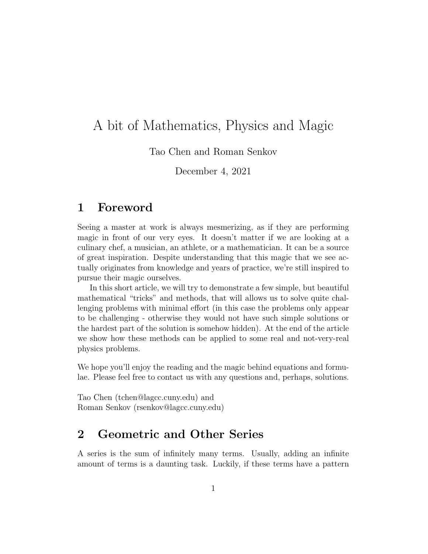# A bit of Mathematics, Physics and Magic

Tao Chen and Roman Senkov

December 4, 2021

#### 1 Foreword

Seeing a master at work is always mesmerizing, as if they are performing magic in front of our very eyes. It doesn't matter if we are looking at a culinary chef, a musician, an athlete, or a mathematician. It can be a source of great inspiration. Despite understanding that this magic that we see actually originates from knowledge and years of practice, we're still inspired to pursue their magic ourselves.

In this short article, we will try to demonstrate a few simple, but beautiful mathematical "tricks" and methods, that will allows us to solve quite challenging problems with minimal effort (in this case the problems only appear to be challenging - otherwise they would not have such simple solutions or the hardest part of the solution is somehow hidden). At the end of the article we show how these methods can be applied to some real and not-very-real physics problems.

We hope you'll enjoy the reading and the magic behind equations and formulae. Please feel free to contact us with any questions and, perhaps, solutions.

Tao Chen (tchen@lagcc.cuny.edu) and Roman Senkov (rsenkov@lagcc.cuny.edu)

### 2 Geometric and Other Series

A series is the sum of infinitely many terms. Usually, adding an infinite amount of terms is a daunting task. Luckily, if these terms have a pattern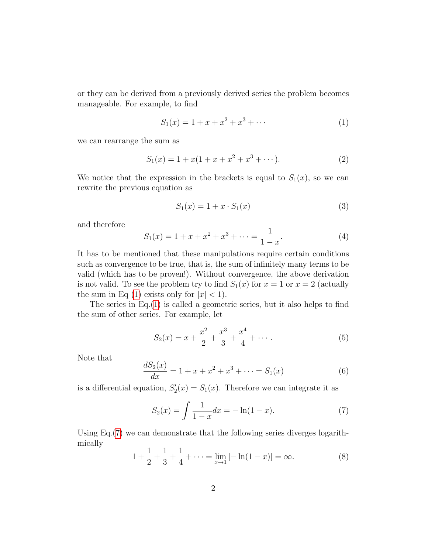or they can be derived from a previously derived series the problem becomes manageable. For example, to find

<span id="page-1-0"></span>
$$
S_1(x) = 1 + x + x^2 + x^3 + \cdots \tag{1}
$$

we can rearrange the sum as

<span id="page-1-2"></span>
$$
S_1(x) = 1 + x(1 + x + x^2 + x^3 + \cdots). \tag{2}
$$

We notice that the expression in the brackets is equal to  $S_1(x)$ , so we can rewrite the previous equation as

<span id="page-1-3"></span>
$$
S_1(x) = 1 + x \cdot S_1(x) \tag{3}
$$

and therefore

$$
S_1(x) = 1 + x + x^2 + x^3 + \dots = \frac{1}{1 - x}.
$$
 (4)

It has to be mentioned that these manipulations require certain conditions such as convergence to be true, that is, the sum of infinitely many terms to be valid (which has to be proven!). Without convergence, the above derivation is not valid. To see the problem try to find  $S_1(x)$  for  $x = 1$  or  $x = 2$  (actually the sum in Eq [\(1\)](#page-1-0) exists only for  $|x| < 1$ .

The series in Eq.[\(1\)](#page-1-0) is called a geometric series, but it also helps to find the sum of other series. For example, let

$$
S_2(x) = x + \frac{x^2}{2} + \frac{x^3}{3} + \frac{x^4}{4} + \dotsb \tag{5}
$$

Note that

$$
\frac{dS_2(x)}{dx} = 1 + x + x^2 + x^3 + \dots = S_1(x) \tag{6}
$$

is a differential equation,  $S'_2(x) = S_1(x)$ . Therefore we can integrate it as

<span id="page-1-1"></span>
$$
S_2(x) = \int \frac{1}{1-x} dx = -\ln(1-x). \tag{7}
$$

Using Eq.[\(7\)](#page-1-1) we can demonstrate that the following series diverges logarithmically

$$
1 + \frac{1}{2} + \frac{1}{3} + \frac{1}{4} + \dots = \lim_{x \to 1} \left[ -\ln(1 - x) \right] = \infty.
$$
 (8)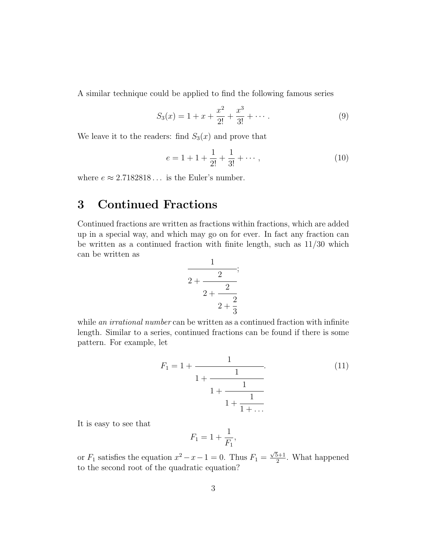A similar technique could be applied to find the following famous series

$$
S_3(x) = 1 + x + \frac{x^2}{2!} + \frac{x^3}{3!} + \cdots
$$
 (9)

We leave it to the readers: find  $S_3(x)$  and prove that

$$
e = 1 + 1 + \frac{1}{2!} + \frac{1}{3!} + \cdots, \tag{10}
$$

where  $e \approx 2.7182818...$  is the Euler's number.

### 3 Continued Fractions

Continued fractions are written as fractions within fractions, which are added up in a special way, and which may go on for ever. In fact any fraction can be written as a continued fraction with finite length, such as 11/30 which can be written as

$$
\cfrac{1}{2+\cfrac{2}{2+\cfrac{2}{2+\cfrac{2}{3}}}};
$$

while an irrational number can be written as a continued fraction with infinite length. Similar to a series, continued fractions can be found if there is some pattern. For example, let

$$
F_1 = 1 + \cfrac{1}{1 + \cfrac{1}{1 + \cfrac{1}{1 + \cfrac{1}{1 + \dots}}}}.
$$
\n(11)

It is easy to see that

$$
F_1 = 1 + \frac{1}{F_1},
$$

or  $F_1$  satisfies the equation  $x^2 - x - 1 = 0$ . Thus  $F_1 = \frac{\sqrt{5}+1}{2}$  $\frac{5+1}{2}$ . What happened to the second root of the quadratic equation?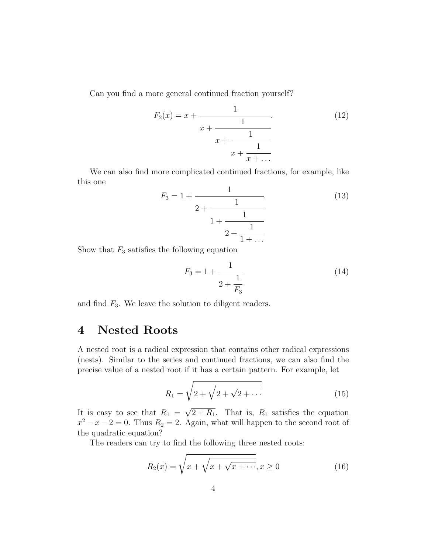Can you find a more general continued fraction yourself?

$$
F_2(x) = x + \cfrac{1}{x + \cfrac{1}{x + \cfrac{1}{x + \cfrac{1}{x + \dots}}}}.
$$
\n(12)

We can also find more complicated continued fractions, for example, like this one

$$
F_3 = 1 + \cfrac{1}{2 + \cfrac{1}{1 + \cfrac{1}{2 + \cfrac{1}{1 + \dots}}}}.
$$
\n(13)

Show that  $F_3$  satisfies the following equation

$$
F_3 = 1 + \frac{1}{2 + \frac{1}{F_3}}
$$
 (14)

and find  $F_3$ . We leave the solution to diligent readers.

### 4 Nested Roots

A nested root is a radical expression that contains other radical expressions (nests). Similar to the series and continued fractions, we can also find the precise value of a nested root if it has a certain pattern. For example, let

$$
R_1 = \sqrt{2 + \sqrt{2 + \sqrt{2 + \cdots}}}
$$
\n(15)

It is easy to see that  $R_1 =$  $2 + R_1$ . That is,  $R_1$  satisfies the equation  $x^2 - x - 2 = 0$ . Thus  $R_2 = 2$ . Again, what will happen to the second root of the quadratic equation?

The readers can try to find the following three nested roots:

$$
R_2(x) = \sqrt{x + \sqrt{x + \sqrt{x + \cdots}}}, x \ge 0
$$
\n(16)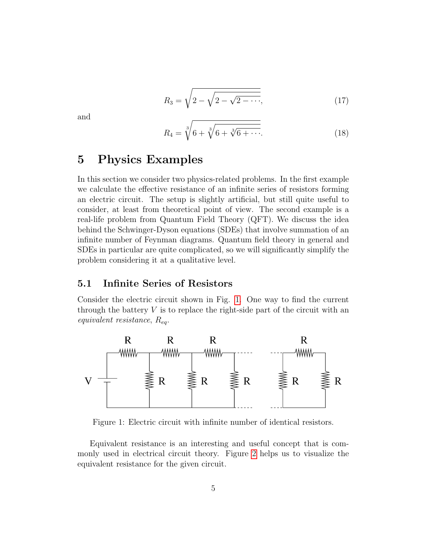$$
R_3 = \sqrt{2 - \sqrt{2 - \sqrt{2 - \cdots}}},\tag{17}
$$

and

$$
R_4 = \sqrt[3]{6 + \sqrt[3]{6 + \sqrt[3]{6 + \cdots}}}.
$$
 (18)

#### 5 Physics Examples

In this section we consider two physics-related problems. In the first example we calculate the effective resistance of an infinite series of resistors forming an electric circuit. The setup is slightly artificial, but still quite useful to consider, at least from theoretical point of view. The second example is a real-life problem from Quantum Field Theory (QFT). We discuss the idea behind the Schwinger-Dyson equations (SDEs) that involve summation of an infinite number of Feynman diagrams. Quantum field theory in general and SDEs in particular are quite complicated, so we will significantly simplify the problem considering it at a qualitative level.

#### 5.1 Infinite Series of Resistors

Consider the electric circuit shown in Fig. [1.](#page-4-0) One way to find the current through the battery  $V$  is to replace the right-side part of the circuit with an equivalent resistance,  $R_{ea}$ .



<span id="page-4-0"></span>Figure 1: Electric circuit with infinite number of identical resistors.

Equivalent resistance is an interesting and useful concept that is commonly used in electrical circuit theory. Figure [2](#page-5-0) helps us to visualize the equivalent resistance for the given circuit.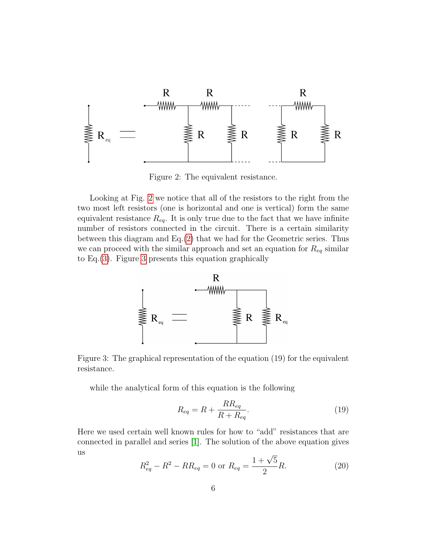

<span id="page-5-0"></span>Figure 2: The equivalent resistance.

Looking at Fig. [2](#page-5-0) we notice that all of the resistors to the right from the two most left resistors (one is horizontal and one is vertical) form the same equivalent resistance  $R_{eq}$ . It is only true due to the fact that we have infinite number of resistors connected in the circuit. There is a certain similarity between this diagram and Eq.[\(2\)](#page-1-2) that we had for the Geometric series. Thus we can proceed with the similar approach and set an equation for  $R_{eq}$  similar to Eq.[\(3\)](#page-1-3). Figure [3](#page-5-1) presents this equation graphically



<span id="page-5-1"></span>Figure 3: The graphical representation of the equation (19) for the equivalent resistance.

while the analytical form of this equation is the following

$$
R_{eq} = R + \frac{RR_{eq}}{R + R_{eq}}.\tag{19}
$$

Here we used certain well known rules for how to "add" resistances that are connected in parallel and series [\[1\]](#page-8-0). The solution of the above equation gives us

$$
R_{eq}^2 - R^2 - RR_{eq} = 0 \text{ or } R_{eq} = \frac{1 + \sqrt{5}}{2}R.
$$
 (20)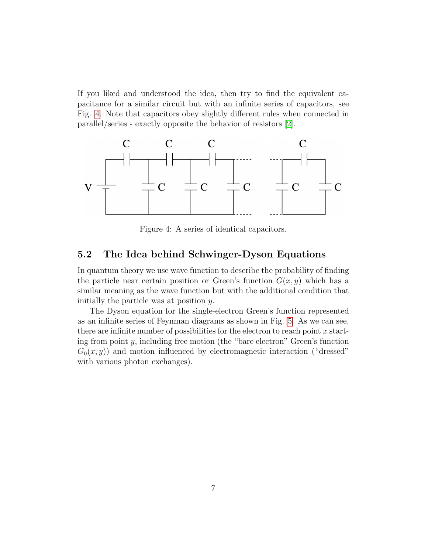If you liked and understood the idea, then try to find the equivalent capacitance for a similar circuit but with an infinite series of capacitors, see Fig. [4.](#page-6-0) Note that capacitors obey slightly different rules when connected in parallel/series - exactly opposite the behavior of resistors [\[2\]](#page-8-1).



<span id="page-6-0"></span>Figure 4: A series of identical capacitors.

#### 5.2 The Idea behind Schwinger-Dyson Equations

In quantum theory we use wave function to describe the probability of finding the particle near certain position or Green's function  $G(x, y)$  which has a similar meaning as the wave function but with the additional condition that initially the particle was at position y.

The Dyson equation for the single-electron Green's function represented as an infinite series of Feynman diagrams as shown in Fig. [5.](#page-7-0) As we can see, there are infinite number of possibilities for the electron to reach point  $x$  starting from point y, including free motion (the "bare electron" Green's function  $G_0(x, y)$  and motion influenced by electromagnetic interaction ("dressed" with various photon exchanges).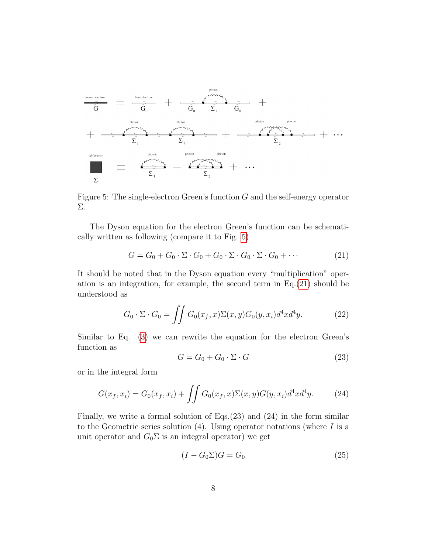

<span id="page-7-0"></span>Figure 5: The single-electron Green's function  $G$  and the self-energy operator Σ.

The Dyson equation for the electron Green's function can be schematically written as following (compare it to Fig. [5\)](#page-7-0)

<span id="page-7-1"></span>
$$
G = G_0 + G_0 \cdot \Sigma \cdot G_0 + G_0 \cdot \Sigma \cdot G_0 \cdot \Sigma \cdot G_0 + \cdots
$$
 (21)

It should be noted that in the Dyson equation every "multiplication" operation is an integration, for example, the second term in Eq.[\(21\)](#page-7-1) should be understood as

$$
G_0 \cdot \Sigma \cdot G_0 = \iint G_0(x_f, x) \Sigma(x, y) G_0(y, x_i) d^4 x d^4 y. \tag{22}
$$

Similar to Eq. [\(3\)](#page-1-3) we can rewrite the equation for the electron Green's function as

$$
G = G_0 + G_0 \cdot \Sigma \cdot G \tag{23}
$$

or in the integral form

$$
G(x_f, x_i) = G_0(x_f, x_i) + \iint G_0(x_f, x) \Sigma(x, y) G(y, x_i) d^4 x d^4 y.
$$
 (24)

Finally, we write a formal solution of Eqs.(23) and (24) in the form similar to the Geometric series solution  $(4)$ . Using operator notations (where I is a unit operator and  $G_0\Sigma$  is an integral operator) we get

$$
(I - G_0 \Sigma)G = G_0 \tag{25}
$$